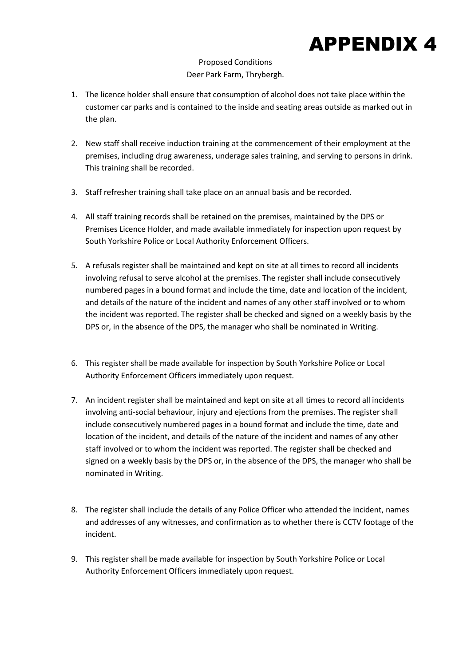## APPENDIX 4

## Proposed Conditions Deer Park Farm, Thrybergh.

- 1. The licence holder shall ensure that consumption of alcohol does not take place within the customer car parks and is contained to the inside and seating areas outside as marked out in the plan.
- 2. New staff shall receive induction training at the commencement of their employment at the premises, including drug awareness, underage sales training, and serving to persons in drink. This training shall be recorded.
- 3. Staff refresher training shall take place on an annual basis and be recorded.
- 4. All staff training records shall be retained on the premises, maintained by the DPS or Premises Licence Holder, and made available immediately for inspection upon request by South Yorkshire Police or Local Authority Enforcement Officers.
- 5. A refusals register shall be maintained and kept on site at all times to record all incidents involving refusal to serve alcohol at the premises. The register shall include consecutively numbered pages in a bound format and include the time, date and location of the incident, and details of the nature of the incident and names of any other staff involved or to whom the incident was reported. The register shall be checked and signed on a weekly basis by the DPS or, in the absence of the DPS, the manager who shall be nominated in Writing.
- 6. This register shall be made available for inspection by South Yorkshire Police or Local Authority Enforcement Officers immediately upon request.
- 7. An incident register shall be maintained and kept on site at all times to record all incidents involving anti-social behaviour, injury and ejections from the premises. The register shall include consecutively numbered pages in a bound format and include the time, date and location of the incident, and details of the nature of the incident and names of any other staff involved or to whom the incident was reported. The register shall be checked and signed on a weekly basis by the DPS or, in the absence of the DPS, the manager who shall be nominated in Writing.
- 8. The register shall include the details of any Police Officer who attended the incident, names and addresses of any witnesses, and confirmation as to whether there is CCTV footage of the incident.
- 9. This register shall be made available for inspection by South Yorkshire Police or Local Authority Enforcement Officers immediately upon request.